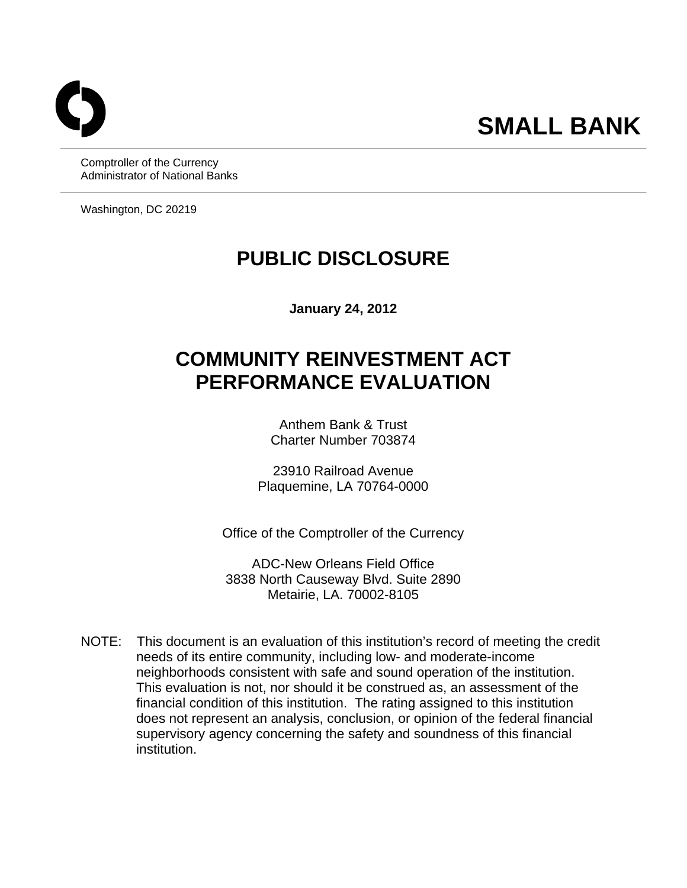Comptroller of the Currency Administrator of National Banks

Washington, DC 20219

## **PUBLIC DISCLOSURE**

**January 24, 2012** 

# **COMMUNITY REINVESTMENT ACT PERFORMANCE EVALUATION**

Anthem Bank & Trust Charter Number 703874

23910 Railroad Avenue Plaquemine, LA 70764-0000

Office of the Comptroller of the Currency

ADC-New Orleans Field Office 3838 North Causeway Blvd. Suite 2890 Metairie, LA. 70002-8105

 NOTE: This document is an evaluation of this institution's record of meeting the credit needs of its entire community, including low- and moderate-income neighborhoods consistent with safe and sound operation of the institution. This evaluation is not, nor should it be construed as, an assessment of the financial condition of this institution. The rating assigned to this institution does not represent an analysis, conclusion, or opinion of the federal financial supervisory agency concerning the safety and soundness of this financial institution.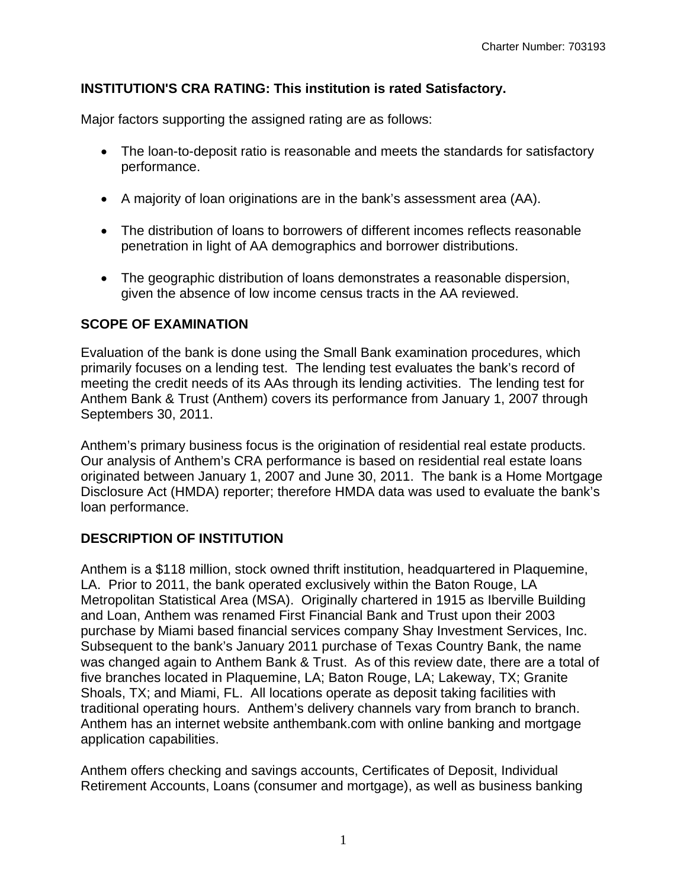## **INSTITUTION'S CRA RATING: This institution is rated Satisfactory.**

Major factors supporting the assigned rating are as follows:

- The loan-to-deposit ratio is reasonable and meets the standards for satisfactory performance.
- A majority of loan originations are in the bank's assessment area (AA).
- The distribution of loans to borrowers of different incomes reflects reasonable penetration in light of AA demographics and borrower distributions.
- The geographic distribution of loans demonstrates a reasonable dispersion, given the absence of low income census tracts in the AA reviewed.

## **SCOPE OF EXAMINATION**

Evaluation of the bank is done using the Small Bank examination procedures, which primarily focuses on a lending test. The lending test evaluates the bank's record of meeting the credit needs of its AAs through its lending activities. The lending test for Anthem Bank & Trust (Anthem) covers its performance from January 1, 2007 through Septembers 30, 2011.

Anthem's primary business focus is the origination of residential real estate products. Our analysis of Anthem's CRA performance is based on residential real estate loans originated between January 1, 2007 and June 30, 2011. The bank is a Home Mortgage Disclosure Act (HMDA) reporter; therefore HMDA data was used to evaluate the bank's loan performance.

## **DESCRIPTION OF INSTITUTION**

application capabilities. Anthem is a \$118 million, stock owned thrift institution, headquartered in Plaquemine, LA. Prior to 2011, the bank operated exclusively within the Baton Rouge, LA Metropolitan Statistical Area (MSA). Originally chartered in 1915 as Iberville Building and Loan, Anthem was renamed First Financial Bank and Trust upon their 2003 purchase by Miami based financial services company Shay Investment Services, Inc. Subsequent to the bank's January 2011 purchase of Texas Country Bank, the name was changed again to Anthem Bank & Trust. As of this review date, there are a total of five branches located in Plaquemine, LA; Baton Rouge, LA; Lakeway, TX; Granite Shoals, TX; and Miami, FL. All locations operate as deposit taking facilities with traditional operating hours. Anthem's delivery channels vary from branch to branch. Anthem has an internet website anthembank.com with online banking and mortgage

Anthem offers checking and savings accounts, Certificates of Deposit, Individual Retirement Accounts, Loans (consumer and mortgage), as well as business banking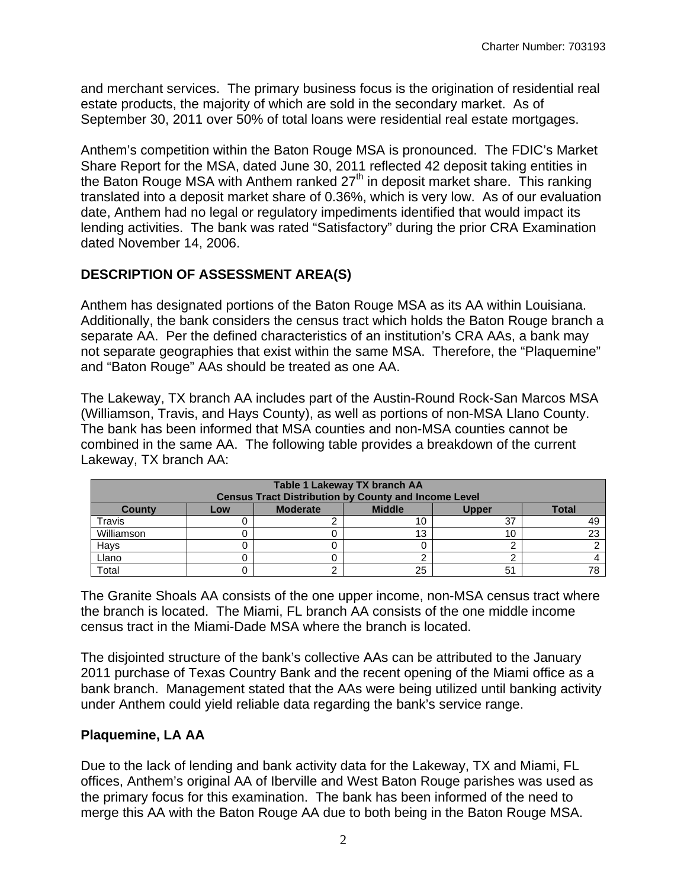and merchant services. The primary business focus is the origination of residential real estate products, the majority of which are sold in the secondary market. As of September 30, 2011 over 50% of total loans were residential real estate mortgages.

Anthem's competition within the Baton Rouge MSA is pronounced. The FDIC's Market Share Report for the MSA, dated June 30, 2011 reflected 42 deposit taking entities in the Baton Rouge MSA with Anthem ranked  $27<sup>th</sup>$  in deposit market share. This ranking translated into a deposit market share of 0.36%, which is very low. As of our evaluation date, Anthem had no legal or regulatory impediments identified that would impact its lending activities. The bank was rated "Satisfactory" during the prior CRA Examination dated November 14, 2006.

## **DESCRIPTION OF ASSESSMENT AREA(S)**

Anthem has designated portions of the Baton Rouge MSA as its AA within Louisiana. Additionally, the bank considers the census tract which holds the Baton Rouge branch a separate AA. Per the defined characteristics of an institution's CRA AAs, a bank may not separate geographies that exist within the same MSA. Therefore, the "Plaquemine" and "Baton Rouge" AAs should be treated as one AA.

The Lakeway, TX branch AA includes part of the Austin-Round Rock-San Marcos MSA (Williamson, Travis, and Hays County), as well as portions of non-MSA Llano County. The bank has been informed that MSA counties and non-MSA counties cannot be combined in the same AA. The following table provides a breakdown of the current Lakeway, TX branch AA:

| Table 1 Lakeway TX branch AA<br><b>Census Tract Distribution by County and Income Level</b> |  |  |    |    |     |  |  |  |  |
|---------------------------------------------------------------------------------------------|--|--|----|----|-----|--|--|--|--|
| <b>Total</b><br><b>Moderate</b><br><b>Middle</b><br><b>County</b><br><b>Upper</b><br>Low    |  |  |    |    |     |  |  |  |  |
| Travis                                                                                      |  |  | 10 | 37 | 49  |  |  |  |  |
| Williamson                                                                                  |  |  | 13 | 10 | ົດຕ |  |  |  |  |
| Hays                                                                                        |  |  |    |    |     |  |  |  |  |
| Llano                                                                                       |  |  |    |    |     |  |  |  |  |
| Total                                                                                       |  |  | 25 | 51 |     |  |  |  |  |

The Granite Shoals AA consists of the one upper income, non-MSA census tract where the branch is located. The Miami, FL branch AA consists of the one middle income census tract in the Miami-Dade MSA where the branch is located.

The disjointed structure of the bank's collective AAs can be attributed to the January 2011 purchase of Texas Country Bank and the recent opening of the Miami office as a bank branch. Management stated that the AAs were being utilized until banking activity under Anthem could yield reliable data regarding the bank's service range.

## **Plaquemine, LA AA**

Due to the lack of lending and bank activity data for the Lakeway, TX and Miami, FL offices, Anthem's original AA of Iberville and West Baton Rouge parishes was used as the primary focus for this examination. The bank has been informed of the need to merge this AA with the Baton Rouge AA due to both being in the Baton Rouge MSA.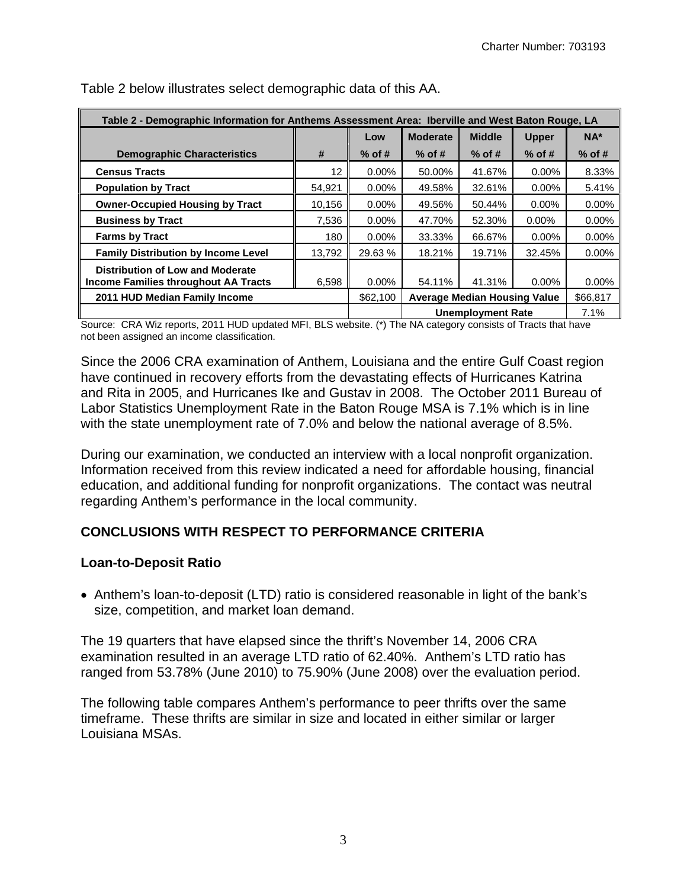| Table 2 - Demographic Information for Anthems Assessment Area: Iberville and West Baton Rouge, LA |        |          |                                     |               |              |          |
|---------------------------------------------------------------------------------------------------|--------|----------|-------------------------------------|---------------|--------------|----------|
|                                                                                                   |        | Low      | <b>Moderate</b>                     | <b>Middle</b> | <b>Upper</b> | $NA*$    |
| <b>Demographic Characteristics</b>                                                                | #      | $%$ of # | $%$ of #                            | $%$ of #      | $%$ of #     | $%$ of # |
| <b>Census Tracts</b>                                                                              | 12     | $0.00\%$ | 50.00%                              | 41.67%        | $0.00\%$     | 8.33%    |
| <b>Population by Tract</b>                                                                        | 54.921 | $0.00\%$ | 49.58%                              | 32.61%        | $0.00\%$     | 5.41%    |
| <b>Owner-Occupied Housing by Tract</b>                                                            | 10,156 | $0.00\%$ | 49.56%                              | 50.44%        | $0.00\%$     | 0.00%    |
| <b>Business by Tract</b>                                                                          | 7,536  | $0.00\%$ | 47.70%                              | 52.30%        | 0.00%        | 0.00%    |
| <b>Farms by Tract</b>                                                                             | 180    | $0.00\%$ | 33.33%                              | 66.67%        | $0.00\%$     | $0.00\%$ |
| <b>Family Distribution by Income Level</b>                                                        | 13.792 | 29.63 %  | 18.21%                              | 19.71%        | 32.45%       | 0.00%    |
| Distribution of Low and Moderate<br><b>Income Families throughout AA Tracts</b>                   | 6.598  | $0.00\%$ | 54.11%                              | 41.31%        | $0.00\%$     | $0.00\%$ |
| 2011 HUD Median Family Income                                                                     |        | \$62,100 | <b>Average Median Housing Value</b> |               |              | \$66,817 |
|                                                                                                   |        |          | <b>Unemployment Rate</b>            |               |              | 7.1%     |

Table 2 below illustrates select demographic data of this AA.

Source: CRA Wiz reports, 2011 HUD updated MFI, BLS website. (\*) The NA category consists of Tracts that have not been assigned an income classification.

Since the 2006 CRA examination of Anthem, Louisiana and the entire Gulf Coast region have continued in recovery efforts from the devastating effects of Hurricanes Katrina and Rita in 2005, and Hurricanes Ike and Gustav in 2008. The October 2011 Bureau of Labor Statistics Unemployment Rate in the Baton Rouge MSA is 7.1% which is in line with the state unemployment rate of 7.0% and below the national average of 8.5%.

During our examination, we conducted an interview with a local nonprofit organization. Information received from this review indicated a need for affordable housing, financial education, and additional funding for nonprofit organizations. The contact was neutral regarding Anthem's performance in the local community.

#### **CONCLUSIONS WITH RESPECT TO PERFORMANCE CRITERIA**

#### **Loan-to-Deposit Ratio**

 Anthem's loan-to-deposit (LTD) ratio is considered reasonable in light of the bank's size, competition, and market loan demand.

The 19 quarters that have elapsed since the thrift's November 14, 2006 CRA examination resulted in an average LTD ratio of 62.40%. Anthem's LTD ratio has ranged from 53.78% (June 2010) to 75.90% (June 2008) over the evaluation period.

The following table compares Anthem's performance to peer thrifts over the same timeframe. These thrifts are similar in size and located in either similar or larger Louisiana MSAs.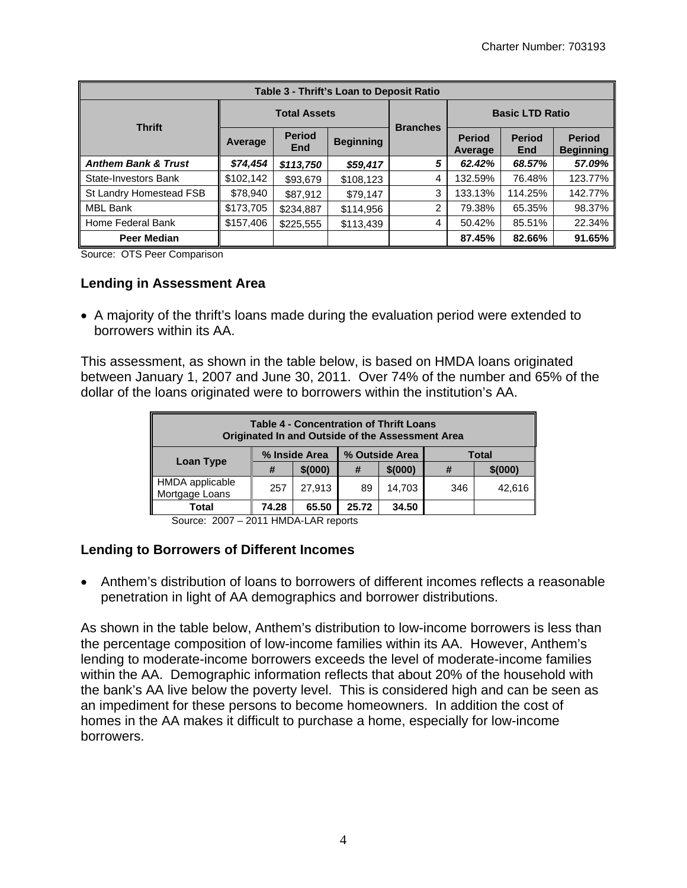| Table 3 - Thrift's Loan to Deposit Ratio |                     |                      |                  |                 |                          |                             |                                   |  |
|------------------------------------------|---------------------|----------------------|------------------|-----------------|--------------------------|-----------------------------|-----------------------------------|--|
| <b>Thrift</b>                            | <b>Total Assets</b> |                      |                  | <b>Branches</b> | <b>Basic LTD Ratio</b>   |                             |                                   |  |
|                                          | Average             | <b>Period</b><br>End | <b>Beginning</b> |                 | <b>Period</b><br>Average | <b>Period</b><br><b>End</b> | <b>Period</b><br><b>Beginning</b> |  |
| <b>Anthem Bank &amp; Trust</b>           | \$74,454            | \$113,750            | \$59,417         | 5               | 62.42%                   | 68.57%                      | 57.09%                            |  |
| <b>State-Investors Bank</b>              | \$102,142           | \$93,679             | \$108,123        | 4               | 132.59%                  | 76.48%                      | 123.77%                           |  |
| St Landry Homestead FSB                  | \$78,940            | \$87,912             | \$79,147         | 3               | 133.13%                  | 114.25%                     | 142.77%                           |  |
| MBL Bank                                 | \$173,705           | \$234,887            | \$114,956        | 2               | 79.38%                   | 65.35%                      | 98.37%                            |  |
| Home Federal Bank                        | \$157,406           | \$225,555            | \$113,439        | 4               | 50.42%                   | 85.51%                      | 22.34%                            |  |
| Peer Median                              |                     |                      |                  |                 | 87.45%                   | 82.66%                      | 91.65%                            |  |

Source: OTS Peer Comparison

#### **Lending in Assessment Area**

 A majority of the thrift's loans made during the evaluation period were extended to borrowers within its AA.

This assessment, as shown in the table below, is based on HMDA loans originated between January 1, 2007 and June 30, 2011. Over 74% of the number and 65% of the dollar of the loans originated were to borrowers within the institution's AA.

| <b>Table 4 - Concentration of Thrift Loans</b><br>Originated In and Outside of the Assessment Area |               |         |                |          |              |          |  |
|----------------------------------------------------------------------------------------------------|---------------|---------|----------------|----------|--------------|----------|--|
|                                                                                                    | % Inside Area |         | % Outside Area |          | <b>Total</b> |          |  |
| Loan Type                                                                                          | #             | \$(000) | #              | \$ (000) | #            | \$ (000) |  |
| HMDA applicable<br>Mortgage Loans                                                                  | 257           | 27,913  | 89             | 14,703   | 346          | 42,616   |  |
| 74.28<br>34.50<br>65.50<br>Total<br>25.72                                                          |               |         |                |          |              |          |  |

Source: 2007 – 2011 HMDA-LAR reports

#### **Lending to Borrowers of Different Incomes**

 Anthem's distribution of loans to borrowers of different incomes reflects a reasonable penetration in light of AA demographics and borrower distributions.

As shown in the table below, Anthem's distribution to low-income borrowers is less than the percentage composition of low-income families within its AA. However, Anthem's lending to moderate-income borrowers exceeds the level of moderate-income families within the AA. Demographic information reflects that about 20% of the household with the bank's AA live below the poverty level. This is considered high and can be seen as an impediment for these persons to become homeowners. In addition the cost of homes in the AA makes it difficult to purchase a home, especially for low-income borrowers.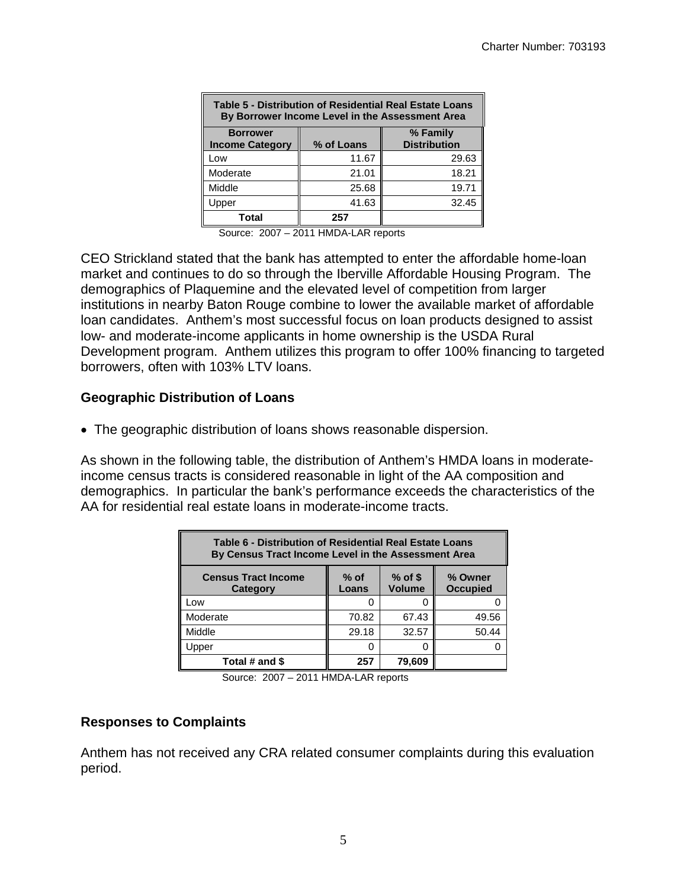| Table 5 - Distribution of Residential Real Estate Loans<br>By Borrower Income Level in the Assessment Area |            |                                 |  |  |  |  |
|------------------------------------------------------------------------------------------------------------|------------|---------------------------------|--|--|--|--|
| <b>Borrower</b><br><b>Income Category</b>                                                                  | % of Loans | % Family<br><b>Distribution</b> |  |  |  |  |
| Low                                                                                                        | 11.67      | 29.63                           |  |  |  |  |
| Moderate                                                                                                   | 21.01      | 18.21                           |  |  |  |  |
| Middle                                                                                                     | 25.68      | 19.71                           |  |  |  |  |
| Jpper                                                                                                      | 41.63      | 32.45                           |  |  |  |  |
| Total                                                                                                      | 257        |                                 |  |  |  |  |

Source: 2007 – 2011 HMDA-LAR reports

CEO Strickland stated that the bank has attempted to enter the affordable home-loan market and continues to do so through the Iberville Affordable Housing Program. The demographics of Plaquemine and the elevated level of competition from larger institutions in nearby Baton Rouge combine to lower the available market of affordable loan candidates. Anthem's most successful focus on loan products designed to assist low- and moderate-income applicants in home ownership is the USDA Rural Development program. Anthem utilizes this program to offer 100% financing to targeted borrowers, often with 103% LTV loans.

#### **Geographic Distribution of Loans**

The geographic distribution of loans shows reasonable dispersion.

As shown in the following table, the distribution of Anthem's HMDA loans in moderateincome census tracts is considered reasonable in light of the AA composition and demographics. In particular the bank's performance exceeds the characteristics of the AA for residential real estate loans in moderate-income tracts.

| Table 6 - Distribution of Residential Real Estate Loans<br>By Census Tract Income Level in the Assessment Area        |       |       |       |  |  |  |  |
|-----------------------------------------------------------------------------------------------------------------------|-------|-------|-------|--|--|--|--|
| $%$ of \$<br>$%$ of<br><b>Census Tract Income</b><br>% Owner<br><b>Volume</b><br><b>Occupied</b><br>Category<br>Loans |       |       |       |  |  |  |  |
| Low                                                                                                                   |       |       |       |  |  |  |  |
| Moderate                                                                                                              | 70.82 | 67.43 | 49.56 |  |  |  |  |
| Middle                                                                                                                | 29.18 | 32.57 | 50.44 |  |  |  |  |
| Upper                                                                                                                 | n     |       |       |  |  |  |  |
| Total # and \$<br>79.609<br>257                                                                                       |       |       |       |  |  |  |  |

Source: 2007 – 2011 HMDA-LAR reports

#### **Responses to Complaints**

Anthem has not received any CRA related consumer complaints during this evaluation period.